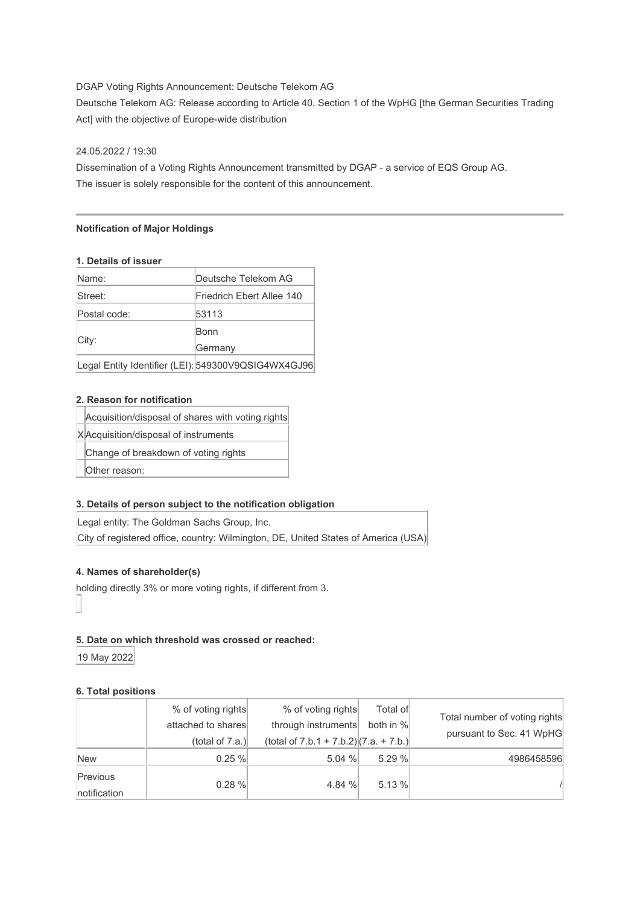## DGAP Voting Rights Announcement: Deutsche Telekom AG

Deutsche Telekom AG: Release according to Article 40, Section 1 of the WpHG [the German Securities Trading Act] with the objective of Europe-wide distribution

#### 24.05.2022 / 19:30

Dissemination of a Voting Rights Announcement transmitted by DGAP - a service of EQS Group AG. The issuer is solely responsible for the content of this announcement.

#### **Notification of Major Holdings**

#### **1. Details of issuer**

| Name:        | Deutsche Telekom AG                                 |
|--------------|-----------------------------------------------------|
| Street:      | Friedrich Ebert Allee 140                           |
| Postal code: | 53113                                               |
|              | Bonn                                                |
| City:        | Germany                                             |
|              | Legal Entity Identifier (LEI): 549300V9QSIG4WX4GJ96 |

### **2. Reason for notification**

| Acquisition/disposal of shares with voting rights |  |  |
|---------------------------------------------------|--|--|
|                                                   |  |  |

X Acquisition/disposal of instruments

Change of breakdown of voting rights

Other reason:

### **3. Details of person subject to the notification obligation**

Legal entity: The Goldman Sachs Group, Inc. City of registered office, country: Wilmington, DE, United States of America (USA)

### **4. Names of shareholder(s)**

holding directly 3% or more voting rights, if different from 3.

#### **5. Date on which threshold was crossed or reached:**

19 May 2022

### **6. Total positions**

|                          | % of voting rights<br>attached to shares<br>(total of $7.a.$ ) | % of voting rights<br>through instruments<br>(total of $7.b.1 + 7.b.2$ ) $(7.a. + 7.b.)$ | Total of<br>both in % | Total number of voting rights<br>pursuant to Sec. 41 WpHG |
|--------------------------|----------------------------------------------------------------|------------------------------------------------------------------------------------------|-----------------------|-----------------------------------------------------------|
| <b>New</b>               | 0.25%                                                          | 5.04%                                                                                    | 5.29 %                | 4986458596                                                |
| Previous<br>notification | 0.28%                                                          | 4.84 %                                                                                   | 5.13%                 |                                                           |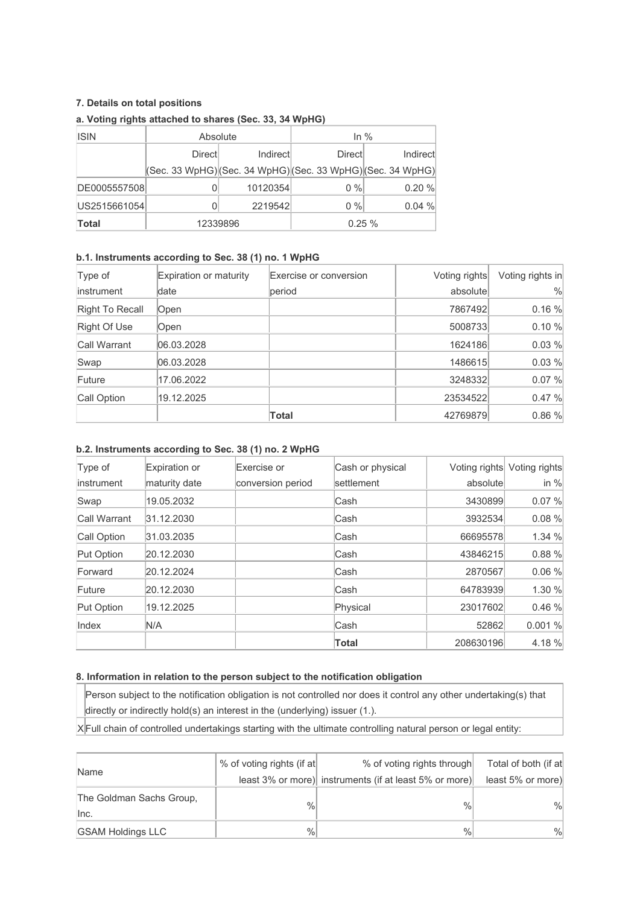## **7. Details on total positions**

| <b>ISIN</b>  | Absolute |           | In $%$                                                      |          |
|--------------|----------|-----------|-------------------------------------------------------------|----------|
|              | Directl  | Indirectl | <b>Direct</b>                                               | Indirect |
|              |          |           | (Sec. 33 WpHG) (Sec. 34 WpHG) (Sec. 33 WpHG) (Sec. 34 WpHG) |          |
| DE0005557508 |          | 10120354  | $0\%$                                                       | 0.20%    |
| US2515661054 |          | 2219542   | $0\%$                                                       | 0.04%    |
| <b>Total</b> | 12339896 |           | 0.25%                                                       |          |

## **a. Voting rights attached to shares (Sec. 33, 34 WpHG)**

# **b.1. Instruments according to Sec. 38 (1) no. 1 WpHG**

| Type of         | Expiration or maturity | Exercise or conversion | Voting rights | Voting rights in |
|-----------------|------------------------|------------------------|---------------|------------------|
| linstrument     | date                   | period                 | absolute      | $\%$             |
| Right To Recall | Open                   |                        | 7867492       | 0.16 %           |
| Right Of Use    | Open                   |                        | 5008733       | 0.10 %           |
| Call Warrant    | 06.03.2028             |                        | 1624186       | 0.03 %           |
| Swap            | 06.03.2028             |                        | 1486615       | 0.03 %           |
| Future          | 17.06.2022             |                        | 3248332       | 0.07 %           |
| Call Option     | 19.12.2025             |                        | 23534522      | 0.47%            |
|                 |                        | Total                  | 42769879      | 0.86%            |

### **b.2. Instruments according to Sec. 38 (1) no. 2 WpHG**

| Type of      | Expiration or | Exercise or       | Cash or physical | Voting rights | Voting rights |
|--------------|---------------|-------------------|------------------|---------------|---------------|
| linstrument  | maturity date | conversion period | settlement       | absolute      | in $%$        |
| Swap         | 19.05.2032    |                   | lCash            | 3430899       | 0.07%         |
| Call Warrant | 31.12.2030    |                   | Cash             | 3932534       | 0.08%         |
| Call Option  | 31.03.2035    |                   | lCash            | 66695578      | 1.34%         |
| Put Option   | 20.12.2030    |                   | Cash             | 43846215      | 0.88%         |
| Forward      | 20.12.2024    |                   | Cash             | 2870567       | 0.06%         |
| Future       | 20.12.2030    |                   | Cash             | 64783939      | 1.30%         |
| Put Option   | 19.12.2025    |                   | Physical         | 23017602      | 0.46%         |
| Index        | N/A           |                   | lCash            | 52862         | 0.001%        |
|              |               |                   | Total            | 208630196     | 4.18 %        |

## **8. Information in relation to the person subject to the notification obligation**

Person subject to the notification obligation is not controlled nor does it control any other undertaking(s) that directly or indirectly hold(s) an interest in the (underlying) issuer (1.).

 $X$  Full chain of controlled undertakings starting with the ultimate controlling natural person or legal entity:

|                                  | % of voting rights (if at | % of voting rights through                             | Total of both (if at |
|----------------------------------|---------------------------|--------------------------------------------------------|----------------------|
| Name                             |                           | least 3% or more) instruments (if at least 5% or more) | least 5% or more)    |
| The Goldman Sachs Group,<br>Inc. | $\frac{0}{0}$             | $\frac{0}{0}$                                          | $\frac{9}{6}$        |
| <b>GSAM Holdings LLC</b>         | $\%$                      | $\%$                                                   | $\frac{9}{6}$        |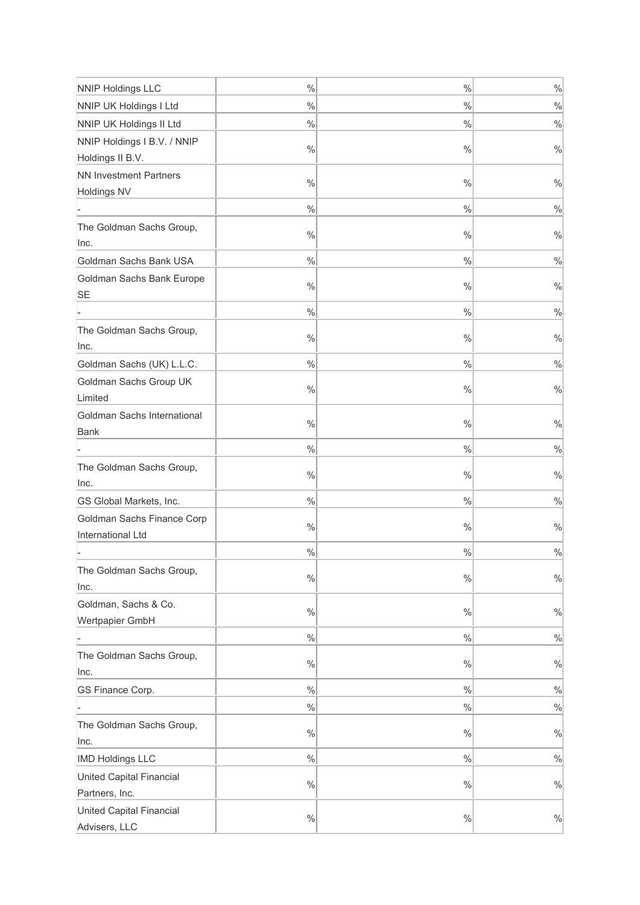| <b>NNIP Holdings LLC</b>          | $\%$          | $\%$          | $\frac{0}{0}$ |
|-----------------------------------|---------------|---------------|---------------|
| NNIP UK Holdings I Ltd            | $\frac{0}{0}$ | %             | $\frac{0}{0}$ |
| NNIP UK Holdings II Ltd           | $\%$          | %             | $\frac{0}{0}$ |
| NNIP Holdings I B.V. / NNIP       |               |               |               |
| Holdings II B.V.                  | $\%$          | $\%$          | $\frac{0}{0}$ |
| <b>NN Investment Partners</b>     | $\frac{0}{0}$ | $\%$          | $\frac{0}{0}$ |
| Holdings NV                       |               |               |               |
|                                   | $\%$          | $\%$          | $\frac{0}{0}$ |
| The Goldman Sachs Group,          | $\%$          | $\%$          | $\frac{0}{0}$ |
| Inc.                              |               |               |               |
| Goldman Sachs Bank USA            | $\%$          | $\frac{0}{0}$ | $\frac{0}{0}$ |
| Goldman Sachs Bank Europe         | $\%$          | $\%$          | $\frac{0}{0}$ |
| SE                                |               |               |               |
|                                   | $\%$          | $\frac{0}{0}$ | $\frac{0}{0}$ |
| The Goldman Sachs Group,          | $\%$          | $\%$          | $\frac{0}{0}$ |
| Inc.                              |               |               |               |
| Goldman Sachs (UK) L.L.C.         | $\%$          | $\frac{0}{0}$ | $\frac{0}{0}$ |
| Goldman Sachs Group UK<br>Limited | $\%$          | $\%$          | $\frac{0}{0}$ |
| Goldman Sachs International       |               |               |               |
| Bank                              | $\%$          | $\%$          | $\%$          |
|                                   | $\frac{0}{0}$ | $\frac{0}{0}$ | $\%$          |
| The Goldman Sachs Group,          | $\frac{0}{0}$ | %             | $\%$          |
| Inc.                              |               |               |               |
| GS Global Markets, Inc.           | $\frac{0}{0}$ | %             | $\%$          |
| Goldman Sachs Finance Corp        | $\frac{0}{0}$ | %             | $\%$          |
| International Ltd                 |               |               |               |
|                                   | $\frac{0}{0}$ | %             | $\%$          |
| The Goldman Sachs Group,<br>Inc.  | $\%$          | %             | $\%$          |
| Goldman, Sachs & Co.              |               |               |               |
| Wertpapier GmbH                   | $\frac{0}{0}$ | %             | $\%$          |
|                                   | $\frac{0}{0}$ | $\frac{0}{0}$ | $\frac{0}{0}$ |
| The Goldman Sachs Group,          | $\frac{0}{0}$ | %             | $\%$          |
| Inc.                              |               |               |               |
| GS Finance Corp.                  | $\frac{0}{0}$ | $\frac{0}{0}$ | $\frac{0}{0}$ |
|                                   | %             | %             | $\frac{0}{0}$ |
| The Goldman Sachs Group,          | $\frac{0}{0}$ | %             | $\%$          |
| Inc.                              |               |               |               |
| <b>IMD Holdings LLC</b>           | $\frac{0}{0}$ | $\frac{9}{6}$ | $\%$          |
| United Capital Financial          | $\frac{0}{0}$ | %             | $\%$          |
| Partners, Inc.                    |               |               |               |
| United Capital Financial          | $\frac{0}{0}$ | $\frac{9}{6}$ | $\frac{0}{0}$ |
| Advisers, LLC                     |               |               |               |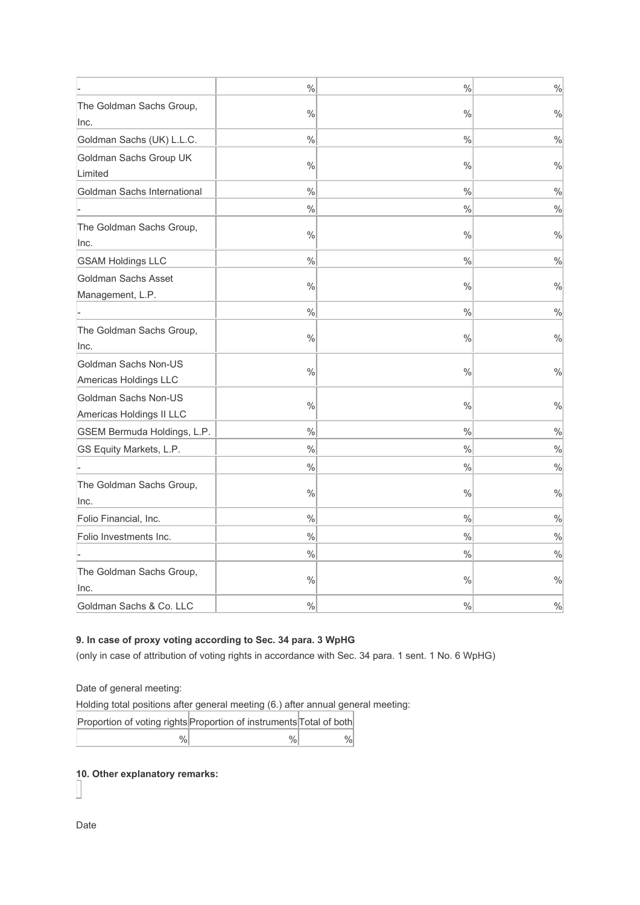|                             | $\frac{0}{0}$ | $\frac{0}{0}$ | $\frac{0}{0}$ |
|-----------------------------|---------------|---------------|---------------|
| The Goldman Sachs Group,    |               |               |               |
| Inc.                        | $\frac{0}{0}$ | $\%$          | $\frac{0}{0}$ |
| Goldman Sachs (UK) L.L.C.   | $\frac{0}{0}$ | $\frac{1}{2}$ | $\frac{0}{0}$ |
| Goldman Sachs Group UK      |               |               |               |
| Limited                     | $\frac{0}{0}$ | $\frac{0}{0}$ | $\frac{0}{0}$ |
| Goldman Sachs International | $\frac{0}{0}$ | $\frac{0}{0}$ | $\frac{0}{0}$ |
|                             | $\frac{0}{0}$ | $\frac{0}{0}$ | $\frac{0}{0}$ |
| The Goldman Sachs Group,    |               |               |               |
| Inc.                        | $\%$          | $\frac{1}{2}$ | $\frac{0}{0}$ |
| <b>GSAM Holdings LLC</b>    | $\frac{0}{0}$ | $\frac{0}{0}$ | $\frac{0}{0}$ |
| Goldman Sachs Asset         | $\frac{0}{0}$ | $\frac{0}{0}$ | $\frac{0}{0}$ |
| Management, L.P.            |               |               |               |
|                             | $\frac{0}{0}$ | $\frac{0}{0}$ | $\frac{0}{0}$ |
| The Goldman Sachs Group,    | $\frac{0}{0}$ | $\frac{0}{0}$ | $\frac{0}{0}$ |
| Inc.                        |               |               |               |
| Goldman Sachs Non-US        | $\frac{0}{0}$ | $\frac{0}{0}$ | $\frac{0}{0}$ |
| Americas Holdings LLC       |               |               |               |
| Goldman Sachs Non-US        | $\frac{0}{0}$ | $\frac{0}{0}$ | $\%$          |
| Americas Holdings II LLC    |               |               |               |
| GSEM Bermuda Holdings, L.P. | $\frac{0}{0}$ | $\frac{1}{2}$ | $\frac{0}{0}$ |
| GS Equity Markets, L.P.     | $\frac{0}{0}$ | $\frac{1}{2}$ | $\frac{0}{0}$ |
|                             | $\frac{0}{0}$ | $\frac{0}{0}$ | $\frac{0}{0}$ |
| The Goldman Sachs Group,    | $\frac{0}{0}$ | $\frac{0}{0}$ | $\frac{0}{0}$ |
| Inc.                        |               |               |               |
| Folio Financial, Inc.       | $\frac{0}{0}$ | $\frac{0}{0}$ | $\frac{0}{0}$ |
| Folio Investments Inc.      | $\frac{0}{0}$ | $\frac{0}{0}$ | $\frac{0}{0}$ |
|                             | $\%$          | %             | $\%$          |
| The Goldman Sachs Group,    |               |               |               |
| Inc.                        | $\frac{0}{0}$ | $\frac{0}{0}$ | $\frac{0}{0}$ |
| Goldman Sachs & Co. LLC     | $\frac{0}{0}$ | $\frac{0}{0}$ | $\frac{0}{0}$ |

# **9. In case of proxy voting according to Sec. 34 para. 3 WpHG**

(only in case of attribution of voting rights in accordance with Sec. 34 para. 1 sent. 1 No. 6 WpHG)

Date of general meeting:

Holding total positions after general meeting (6.) after annual general meeting:

| Proportion of voting rights Proportion of instruments Total of both |  |
|---------------------------------------------------------------------|--|
| 0/2                                                                 |  |

**10. Other explanatory remarks:**

Date